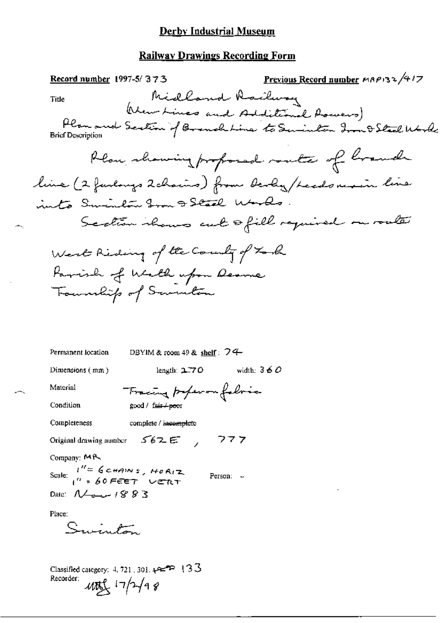## **Derby Industrial Museum**

# **Railway Drawings Recording Form**

| Record number 1997-5/373                                                                               | Previous Record number MRP132/417                                                                              |
|--------------------------------------------------------------------------------------------------------|----------------------------------------------------------------------------------------------------------------|
| Midland Railway<br>Title                                                                               |                                                                                                                |
| <b>Brief Description</b>                                                                               | (New Lines and Additional Aswers)<br>Plan and Scotion of Brench Line to Seminten Iron D Steel World<br>Morning |
|                                                                                                        | Plan showing proposed route of branch                                                                          |
|                                                                                                        |                                                                                                                |
| line (2 funlongs 2 chains) from devly / Leads resin line                                               |                                                                                                                |
| into Sminton Im 9 Stall Worlds                                                                         |                                                                                                                |
|                                                                                                        | Scotion shows cut ofill required on router                                                                     |
| West Riding of the County of Task                                                                      |                                                                                                                |
| Farrish of Wealth upon Dearne                                                                          |                                                                                                                |
| Townships of Sommetime                                                                                 |                                                                                                                |
|                                                                                                        |                                                                                                                |
|                                                                                                        |                                                                                                                |
| Permanent location<br>DBYIM & room 49 & shelf: $74$                                                    |                                                                                                                |
| length: $2.70$<br>Dimensions $(mm)$                                                                    | width: $360$                                                                                                   |
| Material<br>Tracing properon follows                                                                   |                                                                                                                |
| Condition<br>good / fair + poor                                                                        |                                                                                                                |
| Completeness<br>complete / incomplete                                                                  |                                                                                                                |
| Original drawing number 562E, 777                                                                      |                                                                                                                |
| Company: MR                                                                                            |                                                                                                                |
| Scale: $\int_{0}^{H_{\infty}} 6 \cos \theta \times \int_{0}^{H_{\infty}} 60 F E E T$ vert<br>Person: - |                                                                                                                |
| Date: $\mathcal{N}_{\text{max}}$ / $883$                                                               |                                                                                                                |
| Place:                                                                                                 |                                                                                                                |
| Suinton                                                                                                |                                                                                                                |
|                                                                                                        |                                                                                                                |
| Classified category: 4, 721, 301, $\leftarrow$ P {3.5}                                                 |                                                                                                                |

Recorder:  $40\frac{1}{2}$   $17/7/98$ 

÷.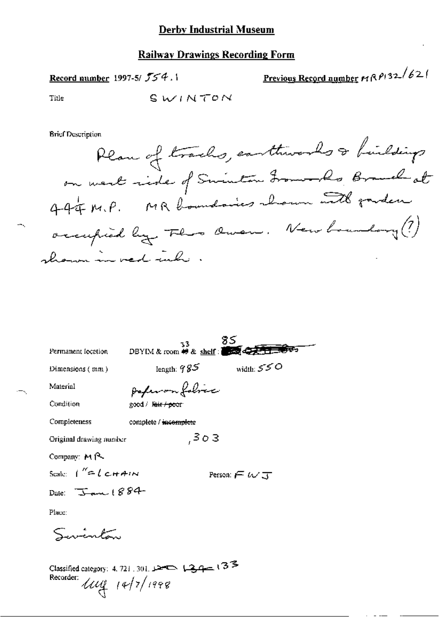## Derby Industrial Museum

## **Railway Drawings Recording Form**

Record number 1997-5/ 554.1

<u>Previous Record number</u>  $M \bigwedge P$ 132/62/

Title

∽.,

SWINTON

**Brief Description** 

| Permanent location                          | 33.                   | DBYIM & room # & shelf:     |
|---------------------------------------------|-----------------------|-----------------------------|
| Dimensions (mm)                             | length: $985$         | width: $550$                |
| Material                                    | poperon folice        |                             |
| Condition                                   | good / Rais / poor    |                             |
| Completeness                                | complete / incomplete |                             |
| Original drawing number                     | ,303                  |                             |
| Company: MR                                 |                       |                             |
| Scale: $1'' = 1$ chain                      |                       | Person: $\in \omega$ $\tau$ |
| Date: $\frac{160}{100}$ 1884                |                       |                             |
| Place:                                      |                       |                             |
| Suintan                                     |                       |                             |
| Recorder:<br>$\mu_{\mathfrak{t}}$ 14/7/1998 |                       |                             |